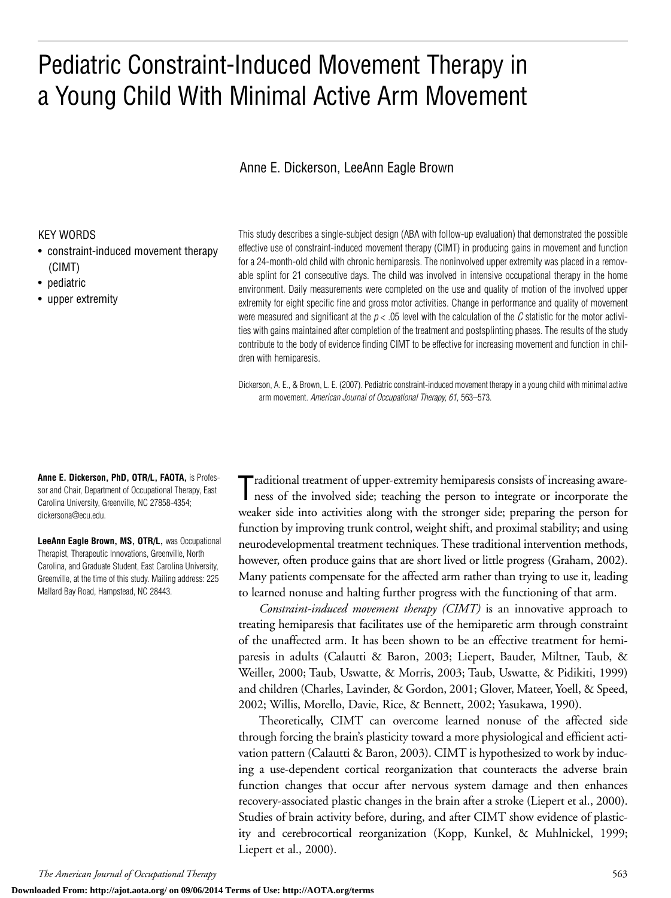## Pediatric Constraint-Induced Movement Therapy in a Young Child With Minimal Active Arm Movement

### Anne E. Dickerson, LeeAnn Eagle Brown

#### KEY WORDS

- constraint-induced movement therapy (CIMT)
- pediatric
- upper extremity

This study describes a single-subject design (ABA with follow-up evaluation) that demonstrated the possible effective use of constraint-induced movement therapy (CIMT) in producing gains in movement and function for a 24-month-old child with chronic hemiparesis. The noninvolved upper extremity was placed in a removable splint for 21 consecutive days. The child was involved in intensive occupational therapy in the home environment. Daily measurements were completed on the use and quality of motion of the involved upper extremity for eight specific fine and gross motor activities. Change in performance and quality of movement were measured and significant at the  $p < .05$  level with the calculation of the C statistic for the motor activities with gains maintained after completion of the treatment and postsplinting phases. The results of the study contribute to the body of evidence finding CIMT to be effective for increasing movement and function in children with hemiparesis.

Dickerson, A. E., & Brown, L. E. (2007). Pediatric constraint-induced movement therapy in a young child with minimal active arm movement. *American Journal of Occupational Therapy, 61,* 563–573.

**Anne E. Dickerson, PhD, OTR/L, FAOTA,** is Professor and Chair, Department of Occupational Therapy, East Carolina University, Greenville, NC 27858-4354; dickersona@ecu.edu.

**LeeAnn Eagle Brown, MS, OTR/L,** was Occupational Therapist, Therapeutic Innovations, Greenville, North Carolina, and Graduate Student, East Carolina University, Greenville, at the time of this study. Mailing address: 225 Mallard Bay Road, Hampstead, NC 28443.

Traditional treatment of upper-extremity hemiparesis consists of increasing awareness of the involved side; teaching the person to integrate or incorporate the ness of the involved side; teaching the person to integrate or incorporate the weaker side into activities along with the stronger side; preparing the person for function by improving trunk control, weight shift, and proximal stability; and using neurodevelopmental treatment techniques. These traditional intervention methods, however, often produce gains that are short lived or little progress (Graham, 2002). Many patients compensate for the affected arm rather than trying to use it, leading to learned nonuse and halting further progress with the functioning of that arm.

*Constraint-induced movement therapy (CIMT)* is an innovative approach to treating hemiparesis that facilitates use of the hemiparetic arm through constraint of the unaffected arm. It has been shown to be an effective treatment for hemiparesis in adults (Calautti & Baron, 2003; Liepert, Bauder, Miltner, Taub, & Weiller, 2000; Taub, Uswatte, & Morris, 2003; Taub, Uswatte, & Pidikiti, 1999) and children (Charles, Lavinder, & Gordon, 2001; Glover, Mateer, Yoell, & Speed, 2002; Willis, Morello, Davie, Rice, & Bennett, 2002; Yasukawa, 1990).

Theoretically, CIMT can overcome learned nonuse of the affected side through forcing the brain's plasticity toward a more physiological and efficient activation pattern (Calautti & Baron, 2003). CIMT is hypothesized to work by inducing a use-dependent cortical reorganization that counteracts the adverse brain function changes that occur after nervous system damage and then enhances recovery-associated plastic changes in the brain after a stroke (Liepert et al., 2000). Studies of brain activity before, during, and after CIMT show evidence of plasticity and cerebrocortical reorganization (Kopp, Kunkel, & Muhlnickel, 1999; Liepert et al., 2000).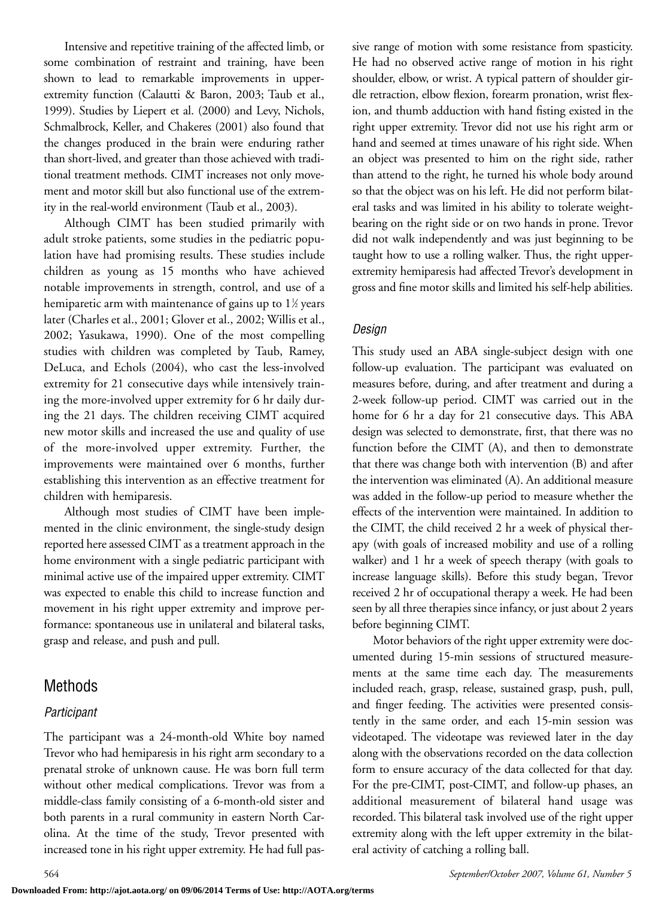Intensive and repetitive training of the affected limb, or some combination of restraint and training, have been shown to lead to remarkable improvements in upperextremity function (Calautti & Baron, 2003; Taub et al., 1999). Studies by Liepert et al. (2000) and Levy, Nichols, Schmalbrock, Keller, and Chakeres (2001) also found that the changes produced in the brain were enduring rather than short-lived, and greater than those achieved with traditional treatment methods. CIMT increases not only movement and motor skill but also functional use of the extremity in the real-world environment (Taub et al., 2003).

Although CIMT has been studied primarily with adult stroke patients, some studies in the pediatric population have had promising results. These studies include children as young as 15 months who have achieved notable improvements in strength, control, and use of a hemiparetic arm with maintenance of gains up to  $1\%$  years later (Charles et al., 2001; Glover et al., 2002; Willis et al., 2002; Yasukawa, 1990). One of the most compelling studies with children was completed by Taub, Ramey, DeLuca, and Echols (2004), who cast the less-involved extremity for 21 consecutive days while intensively training the more-involved upper extremity for 6 hr daily during the 21 days. The children receiving CIMT acquired new motor skills and increased the use and quality of use of the more-involved upper extremity. Further, the improvements were maintained over 6 months, further establishing this intervention as an effective treatment for children with hemiparesis.

Although most studies of CIMT have been implemented in the clinic environment, the single-study design reported here assessed CIMT as a treatment approach in the home environment with a single pediatric participant with minimal active use of the impaired upper extremity. CIMT was expected to enable this child to increase function and movement in his right upper extremity and improve performance: spontaneous use in unilateral and bilateral tasks, grasp and release, and push and pull.

### Methods

### *Participant*

The participant was a 24-month-old White boy named Trevor who had hemiparesis in his right arm secondary to a prenatal stroke of unknown cause. He was born full term without other medical complications. Trevor was from a middle-class family consisting of a 6-month-old sister and both parents in a rural community in eastern North Carolina. At the time of the study, Trevor presented with increased tone in his right upper extremity. He had full passive range of motion with some resistance from spasticity. He had no observed active range of motion in his right shoulder, elbow, or wrist. A typical pattern of shoulder girdle retraction, elbow flexion, forearm pronation, wrist flexion, and thumb adduction with hand fisting existed in the right upper extremity. Trevor did not use his right arm or hand and seemed at times unaware of his right side. When an object was presented to him on the right side, rather than attend to the right, he turned his whole body around so that the object was on his left. He did not perform bilateral tasks and was limited in his ability to tolerate weightbearing on the right side or on two hands in prone. Trevor did not walk independently and was just beginning to be taught how to use a rolling walker. Thus, the right upperextremity hemiparesis had affected Trevor's development in gross and fine motor skills and limited his self-help abilities.

### *Design*

This study used an ABA single-subject design with one follow-up evaluation. The participant was evaluated on measures before, during, and after treatment and during a 2-week follow-up period. CIMT was carried out in the home for 6 hr a day for 21 consecutive days. This ABA design was selected to demonstrate, first, that there was no function before the CIMT (A), and then to demonstrate that there was change both with intervention (B) and after the intervention was eliminated (A). An additional measure was added in the follow-up period to measure whether the effects of the intervention were maintained. In addition to the CIMT, the child received 2 hr a week of physical therapy (with goals of increased mobility and use of a rolling walker) and 1 hr a week of speech therapy (with goals to increase language skills). Before this study began, Trevor received 2 hr of occupational therapy a week. He had been seen by all three therapies since infancy, or just about 2 years before beginning CIMT.

Motor behaviors of the right upper extremity were documented during 15-min sessions of structured measurements at the same time each day. The measurements included reach, grasp, release, sustained grasp, push, pull, and finger feeding. The activities were presented consistently in the same order, and each 15-min session was videotaped. The videotape was reviewed later in the day along with the observations recorded on the data collection form to ensure accuracy of the data collected for that day. For the pre-CIMT, post-CIMT, and follow-up phases, an additional measurement of bilateral hand usage was recorded. This bilateral task involved use of the right upper extremity along with the left upper extremity in the bilateral activity of catching a rolling ball.

**Downloaded From: http://ajot.aota.org/ on 09/06/2014 Terms of Use: http://AOTA.org/terms**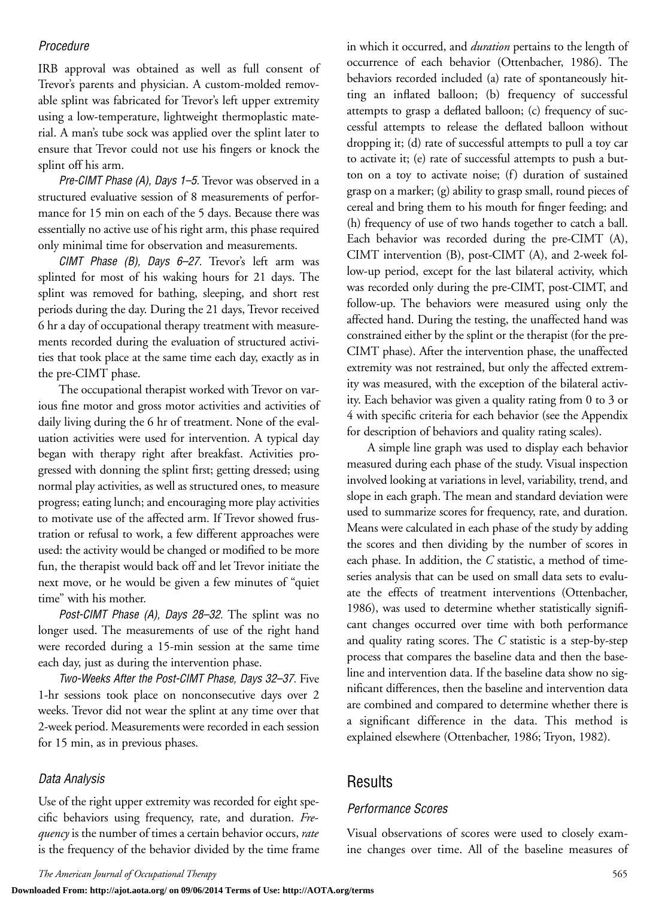### *Procedure*

IRB approval was obtained as well as full consent of Trevor's parents and physician. A custom-molded removable splint was fabricated for Trevor's left upper extremity using a low-temperature, lightweight thermoplastic material. A man's tube sock was applied over the splint later to ensure that Trevor could not use his fingers or knock the splint off his arm.

*Pre-CIMT Phase (A), Days 1–5.* Trevor was observed in a structured evaluative session of 8 measurements of performance for 15 min on each of the 5 days. Because there was essentially no active use of his right arm, this phase required only minimal time for observation and measurements.

*CIMT Phase (B), Days 6–27.* Trevor's left arm was splinted for most of his waking hours for 21 days. The splint was removed for bathing, sleeping, and short rest periods during the day. During the 21 days, Trevor received 6 hr a day of occupational therapy treatment with measurements recorded during the evaluation of structured activities that took place at the same time each day, exactly as in the pre-CIMT phase.

The occupational therapist worked with Trevor on various fine motor and gross motor activities and activities of daily living during the 6 hr of treatment. None of the evaluation activities were used for intervention. A typical day began with therapy right after breakfast. Activities progressed with donning the splint first; getting dressed; using normal play activities, as well as structured ones, to measure progress; eating lunch; and encouraging more play activities to motivate use of the affected arm. If Trevor showed frustration or refusal to work, a few different approaches were used: the activity would be changed or modified to be more fun, the therapist would back off and let Trevor initiate the next move, or he would be given a few minutes of "quiet time" with his mother.

*Post-CIMT Phase (A), Days 28–32.* The splint was no longer used. The measurements of use of the right hand were recorded during a 15-min session at the same time each day, just as during the intervention phase.

*Two-Weeks After the Post-CIMT Phase, Days 32–37.* Five 1-hr sessions took place on nonconsecutive days over 2 weeks. Trevor did not wear the splint at any time over that 2-week period. Measurements were recorded in each session for 15 min, as in previous phases.

#### *Data Analysis*

Use of the right upper extremity was recorded for eight specific behaviors using frequency, rate, and duration. *Frequency* is the number of times a certain behavior occurs, *rate* is the frequency of the behavior divided by the time frame in which it occurred, and *duration* pertains to the length of occurrence of each behavior (Ottenbacher, 1986). The behaviors recorded included (a) rate of spontaneously hitting an inflated balloon; (b) frequency of successful attempts to grasp a deflated balloon; (c) frequency of successful attempts to release the deflated balloon without dropping it; (d) rate of successful attempts to pull a toy car to activate it; (e) rate of successful attempts to push a button on a toy to activate noise; (f) duration of sustained grasp on a marker; (g) ability to grasp small, round pieces of cereal and bring them to his mouth for finger feeding; and (h) frequency of use of two hands together to catch a ball. Each behavior was recorded during the pre-CIMT (A), CIMT intervention (B), post-CIMT (A), and 2-week follow-up period, except for the last bilateral activity, which was recorded only during the pre-CIMT, post-CIMT, and follow-up. The behaviors were measured using only the affected hand. During the testing, the unaffected hand was constrained either by the splint or the therapist (for the pre-CIMT phase). After the intervention phase, the unaffected extremity was not restrained, but only the affected extremity was measured, with the exception of the bilateral activity. Each behavior was given a quality rating from 0 to 3 or 4 with specific criteria for each behavior (see the Appendix for description of behaviors and quality rating scales).

A simple line graph was used to display each behavior measured during each phase of the study. Visual inspection involved looking at variations in level, variability, trend, and slope in each graph. The mean and standard deviation were used to summarize scores for frequency, rate, and duration. Means were calculated in each phase of the study by adding the scores and then dividing by the number of scores in each phase. In addition, the *C* statistic, a method of timeseries analysis that can be used on small data sets to evaluate the effects of treatment interventions (Ottenbacher, 1986), was used to determine whether statistically significant changes occurred over time with both performance and quality rating scores. The *C* statistic is a step-by-step process that compares the baseline data and then the baseline and intervention data. If the baseline data show no significant differences, then the baseline and intervention data are combined and compared to determine whether there is a significant difference in the data. This method is explained elsewhere (Ottenbacher, 1986; Tryon, 1982).

### Results

#### *Performance Scores*

Visual observations of scores were used to closely examine changes over time. All of the baseline measures of

**Downloaded From: http://ajot.aota.org/ on 09/06/2014 Terms of Use: http://AOTA.org/terms**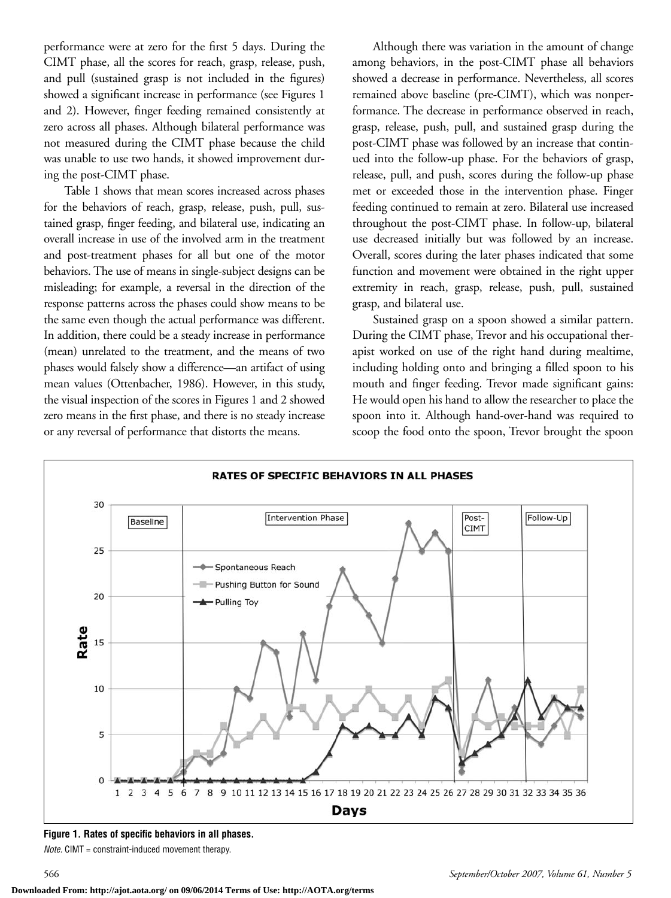performance were at zero for the first 5 days. During the CIMT phase, all the scores for reach, grasp, release, push, and pull (sustained grasp is not included in the figures) showed a significant increase in performance (see Figures 1 and 2). However, finger feeding remained consistently at zero across all phases. Although bilateral performance was not measured during the CIMT phase because the child was unable to use two hands, it showed improvement during the post-CIMT phase.

Table 1 shows that mean scores increased across phases for the behaviors of reach, grasp, release, push, pull, sustained grasp, finger feeding, and bilateral use, indicating an overall increase in use of the involved arm in the treatment and post-treatment phases for all but one of the motor behaviors. The use of means in single-subject designs can be misleading; for example, a reversal in the direction of the response patterns across the phases could show means to be the same even though the actual performance was different. In addition, there could be a steady increase in performance (mean) unrelated to the treatment, and the means of two phases would falsely show a difference—an artifact of using mean values (Ottenbacher, 1986). However, in this study, the visual inspection of the scores in Figures 1 and 2 showed zero means in the first phase, and there is no steady increase or any reversal of performance that distorts the means.

Although there was variation in the amount of change among behaviors, in the post-CIMT phase all behaviors showed a decrease in performance. Nevertheless, all scores remained above baseline (pre-CIMT), which was nonperformance. The decrease in performance observed in reach, grasp, release, push, pull, and sustained grasp during the post-CIMT phase was followed by an increase that continued into the follow-up phase. For the behaviors of grasp, release, pull, and push, scores during the follow-up phase met or exceeded those in the intervention phase. Finger feeding continued to remain at zero. Bilateral use increased throughout the post-CIMT phase. In follow-up, bilateral use decreased initially but was followed by an increase. Overall, scores during the later phases indicated that some function and movement were obtained in the right upper extremity in reach, grasp, release, push, pull, sustained grasp, and bilateral use.

Sustained grasp on a spoon showed a similar pattern. During the CIMT phase, Trevor and his occupational therapist worked on use of the right hand during mealtime, including holding onto and bringing a filled spoon to his mouth and finger feeding. Trevor made significant gains: He would open his hand to allow the researcher to place the spoon into it. Although hand-over-hand was required to scoop the food onto the spoon, Trevor brought the spoon



**Figure 1. Rates of specific behaviors in all phases.**

*Note.* CIMT = constraint-induced movement therapy.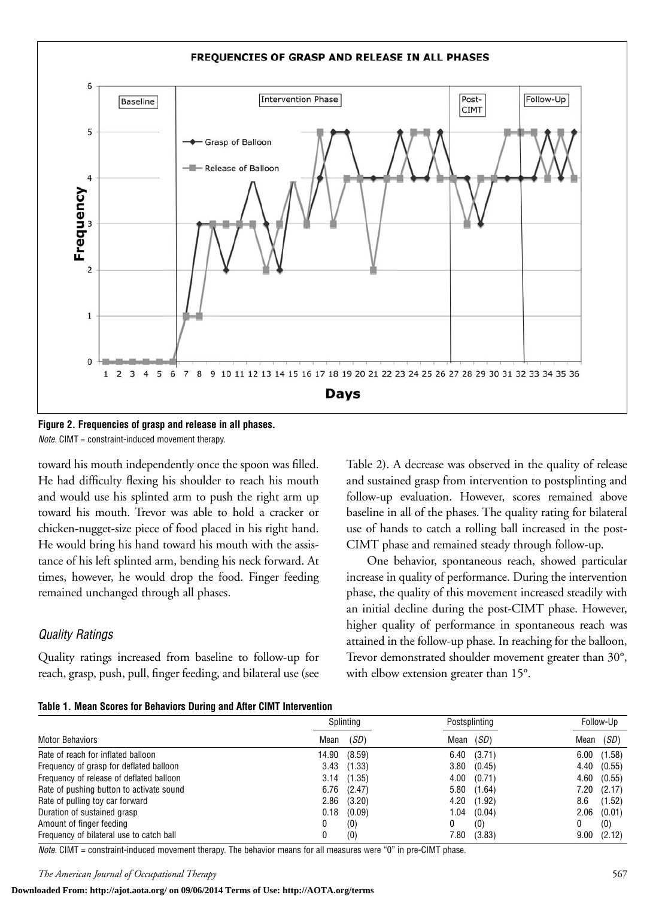

**Figure 2. Frequencies of grasp and release in all phases.** *Note.* CIMT = constraint-induced movement therapy.

toward his mouth independently once the spoon was filled. He had difficulty flexing his shoulder to reach his mouth and would use his splinted arm to push the right arm up toward his mouth. Trevor was able to hold a cracker or chicken-nugget-size piece of food placed in his right hand. He would bring his hand toward his mouth with the assistance of his left splinted arm, bending his neck forward. At times, however, he would drop the food. Finger feeding remained unchanged through all phases.

### *Quality Ratings*

Quality ratings increased from baseline to follow-up for reach, grasp, push, pull, finger feeding, and bilateral use (see

Table 2). A decrease was observed in the quality of release and sustained grasp from intervention to postsplinting and follow-up evaluation. However, scores remained above baseline in all of the phases. The quality rating for bilateral use of hands to catch a rolling ball increased in the post-CIMT phase and remained steady through follow-up.

One behavior, spontaneous reach, showed particular increase in quality of performance. During the intervention phase, the quality of this movement increased steadily with an initial decline during the post-CIMT phase. However, higher quality of performance in spontaneous reach was attained in the follow-up phase. In reaching for the balloon, Trevor demonstrated shoulder movement greater than 30°, with elbow extension greater than 15°.

|  |  |  |  | Table 1. Mean Scores for Behaviors During and After CIMT Intervention |
|--|--|--|--|-----------------------------------------------------------------------|
|  |  |  |  |                                                                       |

|                                          | Splinting |                 | Postsplinting |                 | Follow-Up |                 |
|------------------------------------------|-----------|-----------------|---------------|-----------------|-----------|-----------------|
| <b>Motor Behaviors</b>                   | Mean      | (SD)            | Mean          | (SD)            | Mean      | (SD)            |
| Rate of reach for inflated balloon       |           | 14.90 (8.59)    |               | 6.40(3.71)      |           | 6.00(1.58)      |
| Frequency of grasp for deflated balloon  |           | $3.43$ $(1.33)$ | 3.80          | (0.45)          |           | 4.40 (0.55)     |
| Frequency of release of deflated balloon |           | $3.14$ $(1.35)$ |               | $4.00$ $(0.71)$ |           | 4.60 (0.55)     |
| Rate of pushing button to activate sound |           | $6.76$ $(2.47)$ |               | 5.80(1.64)      |           | 7.20(2.17)      |
| Rate of pulling toy car forward          | 2.86      | (3.20)          |               | 4.20 (1.92)     | 8.6       | (1.52)          |
| Duration of sustained grasp              | 0.18      | (0.09)          | 1.04          | (0.04)          |           | $2.06$ $(0.01)$ |
| Amount of finger feeding                 | 0         | (0)             |               | (0)             | 0         | (0)             |
| Frequency of bilateral use to catch ball | 0         | (0)             | 7.80          | (3.83)          | 9.00      | (2.12)          |

*Note.* CIMT = constraint-induced movement therapy. The behavior means for all measures were "0" in pre-CIMT phase.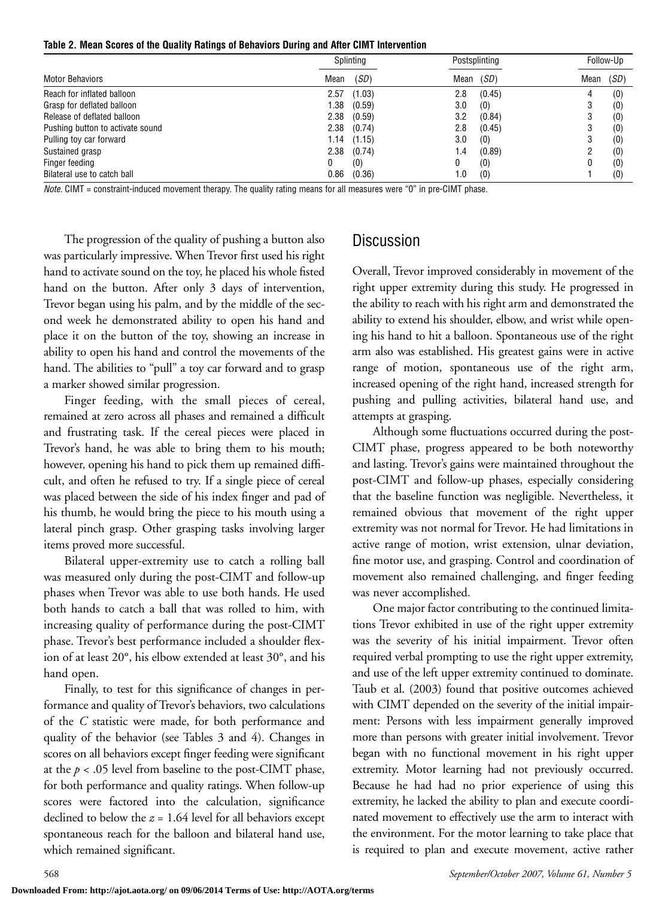**Table 2. Mean Scores of the Quality Ratings of Behaviors During and After CIMT Intervention**

|                                  | Splinting |        |      | Postsplinting |      | Follow-Up |
|----------------------------------|-----------|--------|------|---------------|------|-----------|
| <b>Motor Behaviors</b>           | Mean      | (SD)   | Mean | (SD)          | Mean | (SD)      |
| Reach for inflated balloon       | 2.57      | (1.03) | 2.8  | (0.45)        |      | (0)       |
| Grasp for deflated balloon       | 1.38      | (0.59) | 3.0  | (0)           |      | (0)       |
| Release of deflated balloon      | 2.38      | (0.59) | 3.2  | (0.84)        |      | (0)       |
| Pushing button to activate sound | 2.38      | (0.74) | 2.8  | (0.45)        |      | (0)       |
| Pulling toy car forward          | 1.14      | (1.15) | 3.0  | (0)           |      | (0)       |
| Sustained grasp                  | 2.38      | (0.74) | 1.4  | (0.89)        |      | (0)       |
| Finger feeding                   |           | (0)    | 0    | (0)           |      | (0)       |
| Bilateral use to catch ball      | 0.86      | (0.36) | 1.0  | (0)           |      | (0)       |

*Note.* CIMT = constraint-induced movement therapy. The quality rating means for all measures were "0" in pre-CIMT phase.

The progression of the quality of pushing a button also was particularly impressive. When Trevor first used his right hand to activate sound on the toy, he placed his whole fisted hand on the button. After only 3 days of intervention, Trevor began using his palm, and by the middle of the second week he demonstrated ability to open his hand and place it on the button of the toy, showing an increase in ability to open his hand and control the movements of the hand. The abilities to "pull" a toy car forward and to grasp a marker showed similar progression.

Finger feeding, with the small pieces of cereal, remained at zero across all phases and remained a difficult and frustrating task. If the cereal pieces were placed in Trevor's hand, he was able to bring them to his mouth; however, opening his hand to pick them up remained difficult, and often he refused to try. If a single piece of cereal was placed between the side of his index finger and pad of his thumb, he would bring the piece to his mouth using a lateral pinch grasp. Other grasping tasks involving larger items proved more successful.

Bilateral upper-extremity use to catch a rolling ball was measured only during the post-CIMT and follow-up phases when Trevor was able to use both hands. He used both hands to catch a ball that was rolled to him, with increasing quality of performance during the post-CIMT phase. Trevor's best performance included a shoulder flexion of at least 20°, his elbow extended at least 30°, and his hand open.

Finally, to test for this significance of changes in performance and quality of Trevor's behaviors, two calculations of the *C* statistic were made, for both performance and quality of the behavior (see Tables 3 and 4). Changes in scores on all behaviors except finger feeding were significant at the  $p < .05$  level from baseline to the post-CIMT phase, for both performance and quality ratings. When follow-up scores were factored into the calculation, significance declined to below the  $z = 1.64$  level for all behaviors except spontaneous reach for the balloon and bilateral hand use, which remained significant.

### Discussion

Overall, Trevor improved considerably in movement of the right upper extremity during this study. He progressed in the ability to reach with his right arm and demonstrated the ability to extend his shoulder, elbow, and wrist while opening his hand to hit a balloon. Spontaneous use of the right arm also was established. His greatest gains were in active range of motion, spontaneous use of the right arm, increased opening of the right hand, increased strength for pushing and pulling activities, bilateral hand use, and attempts at grasping.

Although some fluctuations occurred during the post-CIMT phase, progress appeared to be both noteworthy and lasting. Trevor's gains were maintained throughout the post-CIMT and follow-up phases, especially considering that the baseline function was negligible. Nevertheless, it remained obvious that movement of the right upper extremity was not normal for Trevor. He had limitations in active range of motion, wrist extension, ulnar deviation, fine motor use, and grasping. Control and coordination of movement also remained challenging, and finger feeding was never accomplished.

One major factor contributing to the continued limitations Trevor exhibited in use of the right upper extremity was the severity of his initial impairment. Trevor often required verbal prompting to use the right upper extremity, and use of the left upper extremity continued to dominate. Taub et al. (2003) found that positive outcomes achieved with CIMT depended on the severity of the initial impairment: Persons with less impairment generally improved more than persons with greater initial involvement. Trevor began with no functional movement in his right upper extremity. Motor learning had not previously occurred. Because he had had no prior experience of using this extremity, he lacked the ability to plan and execute coordinated movement to effectively use the arm to interact with the environment. For the motor learning to take place that is required to plan and execute movement, active rather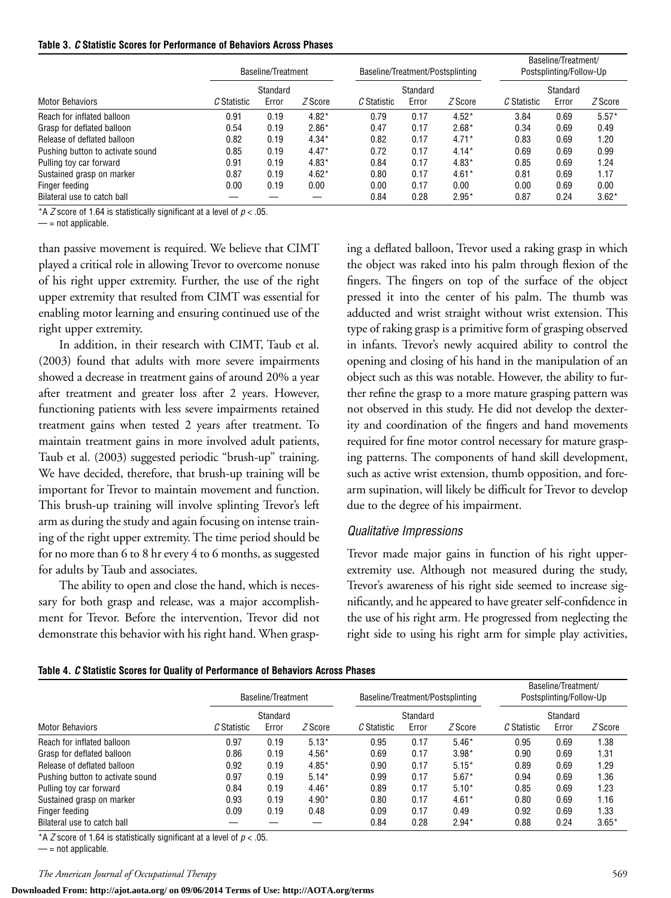|  |  |  |  |  | Table 3. C Statistic Scores for Performance of Behaviors Across Phases |
|--|--|--|--|--|------------------------------------------------------------------------|
|--|--|--|--|--|------------------------------------------------------------------------|

|                                  | Baseline/Treatment<br>Standard |       |         | Baseline/Treatment/Postsplinting<br>Standard |       |         | Baseline/Treatment/<br>Postsplinting/Follow-Up<br>Standard |       |         |
|----------------------------------|--------------------------------|-------|---------|----------------------------------------------|-------|---------|------------------------------------------------------------|-------|---------|
|                                  |                                |       |         |                                              |       |         |                                                            |       |         |
| <b>Motor Behaviors</b>           | C Statistic                    | Error | Z Score | C Statistic                                  | Error | Z Score | C Statistic                                                | Error | Z Score |
| Reach for inflated balloon       | 0.91                           | 0.19  | $4.82*$ | 0.79                                         | 0.17  | $4.52*$ | 3.84                                                       | 0.69  | $5.57*$ |
| Grasp for deflated balloon       | 0.54                           | 0.19  | $2.86*$ | 0.47                                         | 0.17  | $2.68*$ | 0.34                                                       | 0.69  | 0.49    |
| Release of deflated balloon      | 0.82                           | 0.19  | $4.34*$ | 0.82                                         | 0.17  | $4.71*$ | 0.83                                                       | 0.69  | 1.20    |
| Pushing button to activate sound | 0.85                           | 0.19  | $4.47*$ | 0.72                                         | 0.17  | $4.14*$ | 0.69                                                       | 0.69  | 0.99    |
| Pulling toy car forward          | 0.91                           | 0.19  | $4.83*$ | 0.84                                         | 0.17  | $4.83*$ | 0.85                                                       | 0.69  | 1.24    |
| Sustained grasp on marker        | 0.87                           | 0.19  | $4.62*$ | 0.80                                         | 0.17  | $4.61*$ | 0.81                                                       | 0.69  | 1.17    |
| Finger feeding                   | 0.00                           | 0.19  | 0.00    | 0.00                                         | 0.17  | 0.00    | 0.00                                                       | 0.69  | 0.00    |
| Bilateral use to catch ball      |                                |       |         | 0.84                                         | 0.28  | $2.95*$ | 0.87                                                       | 0.24  | $3.62*$ |

\*A *Z* score of 1.64 is statistically significant at a level of *p* < .05.

 $-$  = not applicable.

than passive movement is required. We believe that CIMT played a critical role in allowing Trevor to overcome nonuse of his right upper extremity. Further, the use of the right upper extremity that resulted from CIMT was essential for enabling motor learning and ensuring continued use of the right upper extremity.

In addition, in their research with CIMT, Taub et al. (2003) found that adults with more severe impairments showed a decrease in treatment gains of around 20% a year after treatment and greater loss after 2 years. However, functioning patients with less severe impairments retained treatment gains when tested 2 years after treatment. To maintain treatment gains in more involved adult patients, Taub et al. (2003) suggested periodic "brush-up" training. We have decided, therefore, that brush-up training will be important for Trevor to maintain movement and function. This brush-up training will involve splinting Trevor's left arm as during the study and again focusing on intense training of the right upper extremity. The time period should be for no more than 6 to 8 hr every 4 to 6 months, as suggested for adults by Taub and associates.

The ability to open and close the hand, which is necessary for both grasp and release, was a major accomplishment for Trevor. Before the intervention, Trevor did not demonstrate this behavior with his right hand. When grasping a deflated balloon, Trevor used a raking grasp in which the object was raked into his palm through flexion of the fingers. The fingers on top of the surface of the object pressed it into the center of his palm. The thumb was adducted and wrist straight without wrist extension. This type of raking grasp is a primitive form of grasping observed in infants. Trevor's newly acquired ability to control the opening and closing of his hand in the manipulation of an object such as this was notable. However, the ability to further refine the grasp to a more mature grasping pattern was not observed in this study. He did not develop the dexterity and coordination of the fingers and hand movements required for fine motor control necessary for mature grasping patterns. The components of hand skill development, such as active wrist extension, thumb opposition, and forearm supination, will likely be difficult for Trevor to develop due to the degree of his impairment.

### *Qualitative Impressions*

Trevor made major gains in function of his right upperextremity use. Although not measured during the study, Trevor's awareness of his right side seemed to increase significantly, and he appeared to have greater self-confidence in the use of his right arm. He progressed from neglecting the right side to using his right arm for simple play activities,

|  |  | Table 4. C Statistic Scores for Quality of Performance of Behaviors Across Phases |  |
|--|--|-----------------------------------------------------------------------------------|--|
|  |  |                                                                                   |  |

|                                  | Baseline/Treatment<br>Standard |       |         | Baseline/Treatment/Postsplinting<br>Standard |       |         | Baseline/Treatment/<br>Postsplinting/Follow-Up<br>Standard |       |         |
|----------------------------------|--------------------------------|-------|---------|----------------------------------------------|-------|---------|------------------------------------------------------------|-------|---------|
|                                  |                                |       |         |                                              |       |         |                                                            |       |         |
| <b>Motor Behaviors</b>           | C Statistic                    | Error | Z Score | C Statistic                                  | Error | Z Score | C Statistic                                                | Error | Z Score |
| Reach for inflated balloon       | 0.97                           | 0.19  | $5.13*$ | 0.95                                         | 0.17  | $5.46*$ | 0.95                                                       | 0.69  | 1.38    |
| Grasp for deflated balloon       | 0.86                           | 0.19  | $4.56*$ | 0.69                                         | 0.17  | $3.98*$ | 0.90                                                       | 0.69  | 1.31    |
| Release of deflated balloon      | 0.92                           | 0.19  | $4.85*$ | 0.90                                         | 0.17  | $5.15*$ | 0.89                                                       | 0.69  | 1.29    |
| Pushing button to activate sound | 0.97                           | 0.19  | $5.14*$ | 0.99                                         | 0.17  | $5.67*$ | 0.94                                                       | 0.69  | 1.36    |
| Pulling toy car forward          | 0.84                           | 0.19  | $4.46*$ | 0.89                                         | 0.17  | $5.10*$ | 0.85                                                       | 0.69  | 1.23    |
| Sustained grasp on marker        | 0.93                           | 0.19  | $4.90*$ | 0.80                                         | 0.17  | $4.61*$ | 0.80                                                       | 0.69  | 1.16    |
| Finger feeding                   | 0.09                           | 0.19  | 0.48    | 0.09                                         | 0.17  | 0.49    | 0.92                                                       | 0.69  | 1.33    |
| Bilateral use to catch ball      |                                |       |         | 0.84                                         | 0.28  | $2.94*$ | 0.88                                                       | 0.24  | $3.65*$ |

\*A *Z* score of 1.64 is statistically significant at a level of *p* < .05.

 $-$  = not applicable.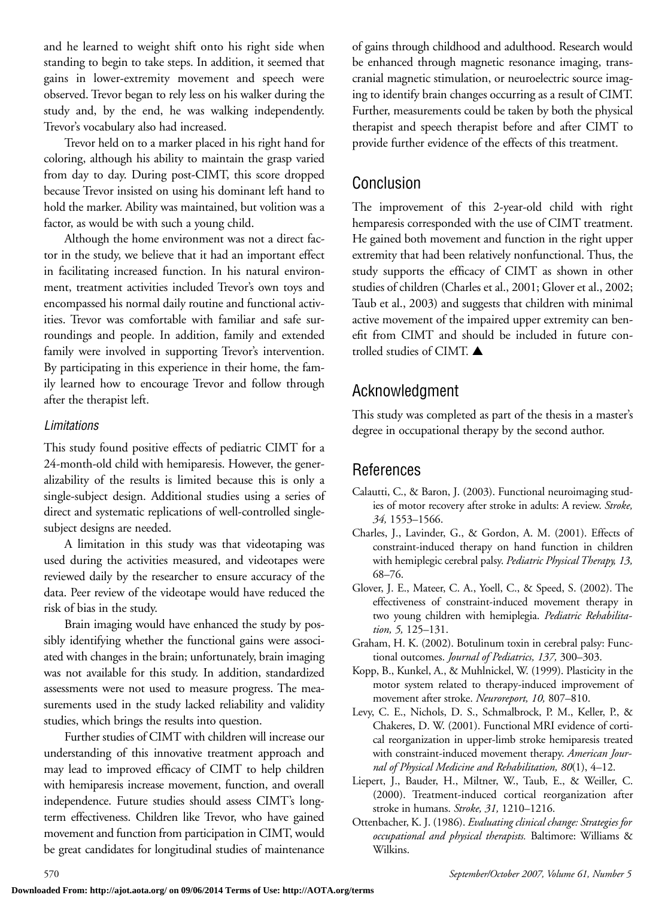and he learned to weight shift onto his right side when standing to begin to take steps. In addition, it seemed that gains in lower-extremity movement and speech were observed. Trevor began to rely less on his walker during the study and, by the end, he was walking independently. Trevor's vocabulary also had increased.

Trevor held on to a marker placed in his right hand for coloring, although his ability to maintain the grasp varied from day to day. During post-CIMT, this score dropped because Trevor insisted on using his dominant left hand to hold the marker. Ability was maintained, but volition was a factor, as would be with such a young child.

Although the home environment was not a direct factor in the study, we believe that it had an important effect in facilitating increased function. In his natural environment, treatment activities included Trevor's own toys and encompassed his normal daily routine and functional activities. Trevor was comfortable with familiar and safe surroundings and people. In addition, family and extended family were involved in supporting Trevor's intervention. By participating in this experience in their home, the family learned how to encourage Trevor and follow through after the therapist left.

### *Limitations*

This study found positive effects of pediatric CIMT for a 24-month-old child with hemiparesis. However, the generalizability of the results is limited because this is only a single-subject design. Additional studies using a series of direct and systematic replications of well-controlled singlesubject designs are needed.

A limitation in this study was that videotaping was used during the activities measured, and videotapes were reviewed daily by the researcher to ensure accuracy of the data. Peer review of the videotape would have reduced the risk of bias in the study.

Brain imaging would have enhanced the study by possibly identifying whether the functional gains were associated with changes in the brain; unfortunately, brain imaging was not available for this study. In addition, standardized assessments were not used to measure progress. The measurements used in the study lacked reliability and validity studies, which brings the results into question.

Further studies of CIMT with children will increase our understanding of this innovative treatment approach and may lead to improved efficacy of CIMT to help children with hemiparesis increase movement, function, and overall independence. Future studies should assess CIMT's longterm effectiveness. Children like Trevor, who have gained movement and function from participation in CIMT, would be great candidates for longitudinal studies of maintenance

of gains through childhood and adulthood. Research would be enhanced through magnetic resonance imaging, transcranial magnetic stimulation, or neuroelectric source imaging to identify brain changes occurring as a result of CIMT. Further, measurements could be taken by both the physical therapist and speech therapist before and after CIMT to provide further evidence of the effects of this treatment.

### Conclusion

The improvement of this 2-year-old child with right hemparesis corresponded with the use of CIMT treatment. He gained both movement and function in the right upper extremity that had been relatively nonfunctional. Thus, the study supports the efficacy of CIMT as shown in other studies of children (Charles et al., 2001; Glover et al., 2002; Taub et al., 2003) and suggests that children with minimal active movement of the impaired upper extremity can benefit from CIMT and should be included in future controlled studies of CIMT. **▲**

### Acknowledgment

This study was completed as part of the thesis in a master's degree in occupational therapy by the second author.

### References

- Calautti, C., & Baron, J. (2003). Functional neuroimaging studies of motor recovery after stroke in adults: A review. *Stroke, 34,* 1553–1566.
- Charles, J., Lavinder, G., & Gordon, A. M. (2001). Effects of constraint-induced therapy on hand function in children with hemiplegic cerebral palsy. *Pediatric Physical Therapy, 13,* 68–76.
- Glover, J. E., Mateer, C. A., Yoell, C., & Speed, S. (2002). The effectiveness of constraint-induced movement therapy in two young children with hemiplegia. *Pediatric Rehabilitation, 5,* 125–131.
- Graham, H. K. (2002). Botulinum toxin in cerebral palsy: Functional outcomes. *Journal of Pediatrics, 137,* 300–303.
- Kopp, B., Kunkel, A., & Muhlnickel, W. (1999). Plasticity in the motor system related to therapy-induced improvement of movement after stroke. *Neuroreport, 10,* 807–810.
- Levy, C. E., Nichols, D. S., Schmalbrock, P. M., Keller, P., & Chakeres, D. W. (2001). Functional MRI evidence of cortical reorganization in upper-limb stroke hemiparesis treated with constraint-induced movement therapy. *American Journal of Physical Medicine and Rehabilitation, 80*(1), 4–12.
- Liepert, J., Bauder, H., Miltner, W., Taub, E., & Weiller, C. (2000). Treatment-induced cortical reorganization after stroke in humans. *Stroke, 31,* 1210–1216.
- Ottenbacher, K. J. (1986). *Evaluating clinical change: Strategies for occupational and physical therapists.* Baltimore: Williams & Wilkins.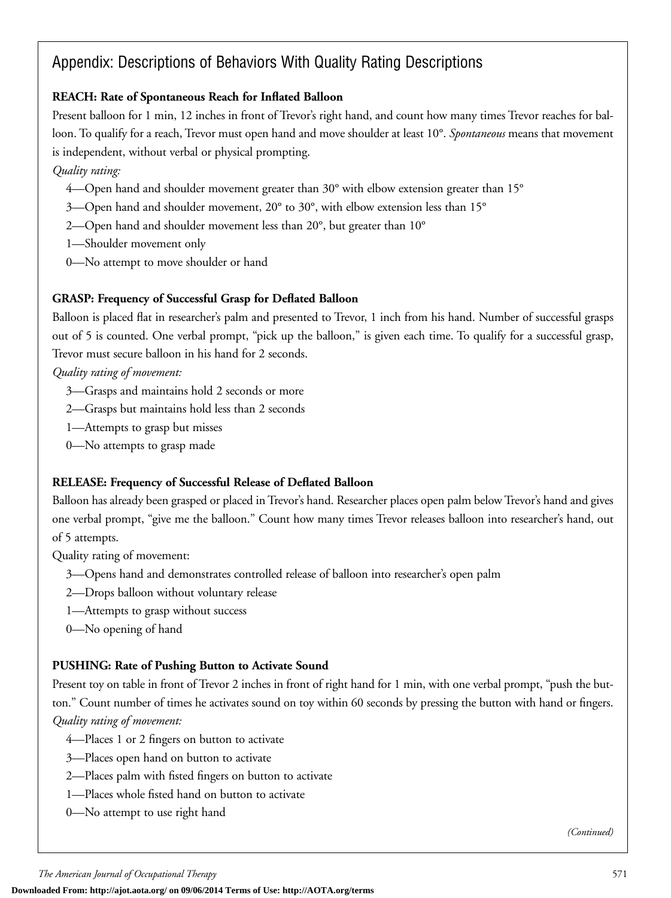### Appendix: Descriptions of Behaviors With Quality Rating Descriptions

### **REACH: Rate of Spontaneous Reach for Inflated Balloon**

Present balloon for 1 min, 12 inches in front of Trevor's right hand, and count how many times Trevor reaches for balloon. To qualify for a reach, Trevor must open hand and move shoulder at least 10°. *Spontaneous* means that movement is independent, without verbal or physical prompting.

### *Quality rating:*

- 4—Open hand and shoulder movement greater than 30° with elbow extension greater than 15°
- 3—Open hand and shoulder movement, 20° to 30°, with elbow extension less than 15°
- 2—Open hand and shoulder movement less than 20°, but greater than 10°
- 1—Shoulder movement only
- 0—No attempt to move shoulder or hand

### **GRASP: Frequency of Successful Grasp for Deflated Balloon**

Balloon is placed flat in researcher's palm and presented to Trevor, 1 inch from his hand. Number of successful grasps out of 5 is counted. One verbal prompt, "pick up the balloon," is given each time. To qualify for a successful grasp, Trevor must secure balloon in his hand for 2 seconds.

*Quality rating of movement:*

- 3—Grasps and maintains hold 2 seconds or more
- 2—Grasps but maintains hold less than 2 seconds
- 1—Attempts to grasp but misses
- 0—No attempts to grasp made

### **RELEASE: Frequency of Successful Release of Deflated Balloon**

Balloon has already been grasped or placed in Trevor's hand. Researcher places open palm below Trevor's hand and gives one verbal prompt, "give me the balloon." Count how many times Trevor releases balloon into researcher's hand, out of 5 attempts.

Quality rating of movement:

- 3—Opens hand and demonstrates controlled release of balloon into researcher's open palm
- 2—Drops balloon without voluntary release
- 1—Attempts to grasp without success
- 0—No opening of hand

### **PUSHING: Rate of Pushing Button to Activate Sound**

Present toy on table in front of Trevor 2 inches in front of right hand for 1 min, with one verbal prompt, "push the button." Count number of times he activates sound on toy within 60 seconds by pressing the button with hand or fingers. *Quality rating of movement:*

- 4—Places 1 or 2 fingers on button to activate
- 3—Places open hand on button to activate
- 2—Places palm with fisted fingers on button to activate
- 1—Places whole fisted hand on button to activate
- 0—No attempt to use right hand

*(Continued)*

**Downloaded From: http://ajot.aota.org/ on 09/06/2014 Terms of Use: http://AOTA.org/terms**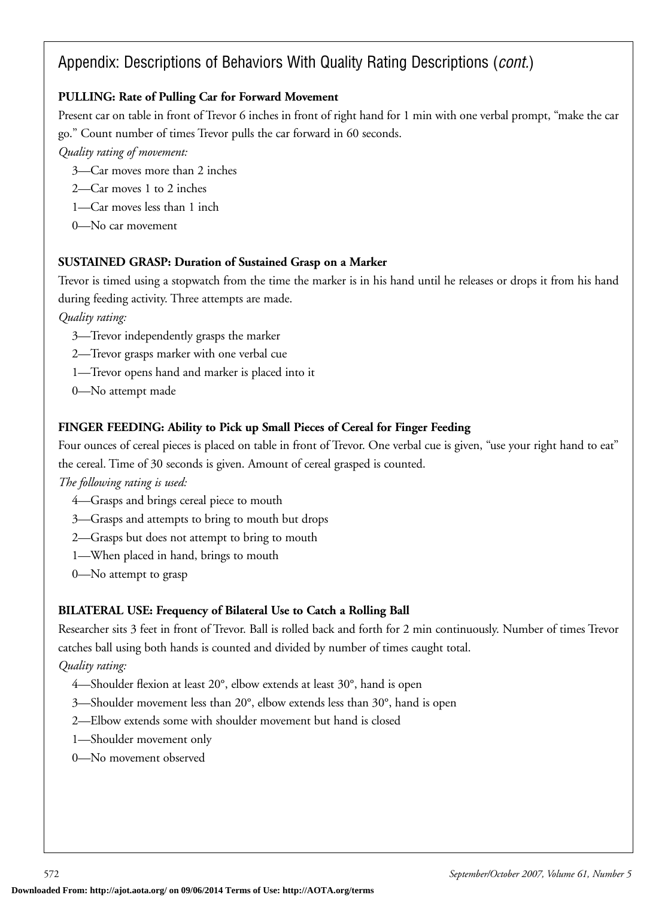### Appendix: Descriptions of Behaviors With Quality Rating Descriptions (*cont.*)

### **PULLING: Rate of Pulling Car for Forward Movement**

Present car on table in front of Trevor 6 inches in front of right hand for 1 min with one verbal prompt, "make the car go." Count number of times Trevor pulls the car forward in 60 seconds.

*Quality rating of movement:*

- 3—Car moves more than 2 inches
- 2—Car moves 1 to 2 inches
- 1—Car moves less than 1 inch
- 0—No car movement

### **SUSTAINED GRASP: Duration of Sustained Grasp on a Marker**

Trevor is timed using a stopwatch from the time the marker is in his hand until he releases or drops it from his hand during feeding activity. Three attempts are made.

*Quality rating:*

- 3—Trevor independently grasps the marker
- 2—Trevor grasps marker with one verbal cue
- 1—Trevor opens hand and marker is placed into it
- 0—No attempt made

### **FINGER FEEDING: Ability to Pick up Small Pieces of Cereal for Finger Feeding**

Four ounces of cereal pieces is placed on table in front of Trevor. One verbal cue is given, "use your right hand to eat" the cereal. Time of 30 seconds is given. Amount of cereal grasped is counted.

*The following rating is used:*

- 4—Grasps and brings cereal piece to mouth
- 3—Grasps and attempts to bring to mouth but drops
- 2—Grasps but does not attempt to bring to mouth
- 1—When placed in hand, brings to mouth
- 0—No attempt to grasp

### **BILATERAL USE: Frequency of Bilateral Use to Catch a Rolling Ball**

Researcher sits 3 feet in front of Trevor. Ball is rolled back and forth for 2 min continuously. Number of times Trevor catches ball using both hands is counted and divided by number of times caught total.

*Quality rating:*

- 4—Shoulder flexion at least 20°, elbow extends at least 30°, hand is open
- 3—Shoulder movement less than 20°, elbow extends less than 30°, hand is open
- 2—Elbow extends some with shoulder movement but hand is closed
- 1—Shoulder movement only
- 0—No movement observed